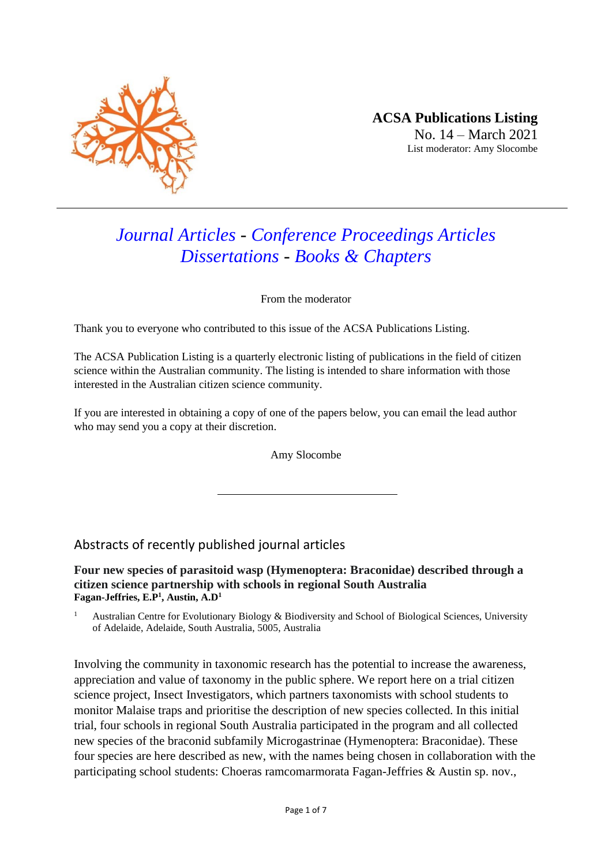

# *Journal Articles - Conference Proceedings Articles Dissertations - Books & Chapters*

From the moderator

Thank you to everyone who contributed to this issue of the ACSA Publications Listing.

The ACSA Publication Listing is a quarterly electronic listing of publications in the field of citizen science within the Australian community. The listing is intended to share information with those interested in the Australian citizen science community.

If you are interested in obtaining a copy of one of the papers below, you can email the lead author who may send you a copy at their discretion.

Amy Slocombe

## Abstracts of recently published journal articles

**Four new species of parasitoid wasp (Hymenoptera: Braconidae) described through a citizen science partnership with schools in regional South Australia Fagan-Jeffries, E.P<sup>1</sup> , Austin, A.D<sup>1</sup>**

<sup>1</sup> Australian Centre for Evolutionary Biology & Biodiversity and School of Biological Sciences, University of Adelaide, Adelaide, South Australia, 5005, Australia

Involving the community in taxonomic research has the potential to increase the awareness, appreciation and value of taxonomy in the public sphere. We report here on a trial citizen science project, Insect Investigators, which partners taxonomists with school students to monitor Malaise traps and prioritise the description of new species collected. In this initial trial, four schools in regional South Australia participated in the program and all collected new species of the braconid subfamily Microgastrinae (Hymenoptera: Braconidae). These four species are here described as new, with the names being chosen in collaboration with the participating school students: Choeras ramcomarmorata Fagan-Jeffries & Austin sp. nov.,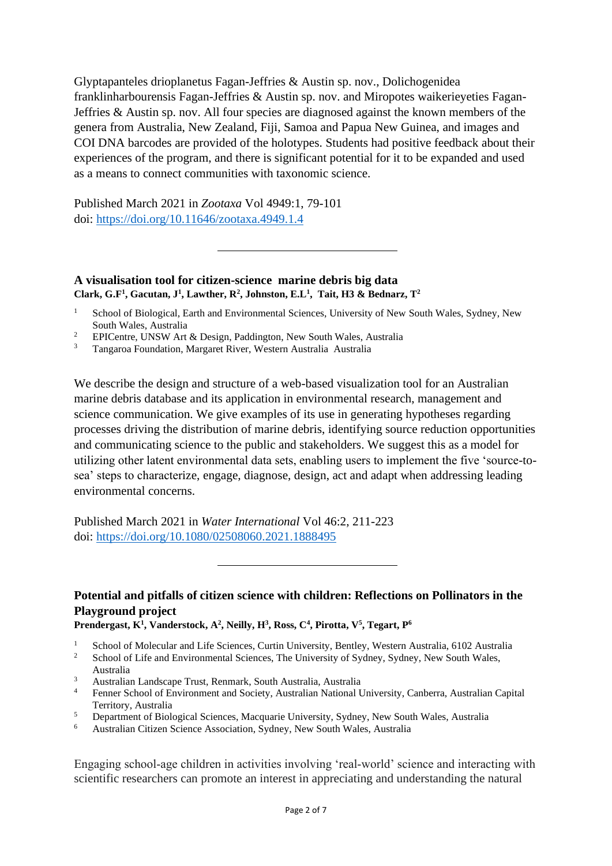Glyptapanteles drioplanetus Fagan-Jeffries & Austin sp. nov., Dolichogenidea franklinharbourensis Fagan-Jeffries & Austin sp. nov. and Miropotes waikerieyeties Fagan-Jeffries & Austin sp. nov. All four species are diagnosed against the known members of the genera from Australia, New Zealand, Fiji, Samoa and Papua New Guinea, and images and COI DNA barcodes are provided of the holotypes. Students had positive feedback about their experiences of the program, and there is significant potential for it to be expanded and used as a means to connect communities with taxonomic science.

Published March 2021 in *Zootaxa* Vol 4949:1, 79-101 doi:<https://doi.org/10.11646/zootaxa.4949.1.4>

### **A visualisation tool for citizen-science marine debris big data Clark, G.F<sup>1</sup> , Gacutan, J<sup>1</sup> , Lawther, R<sup>2</sup> , Johnston, E.L<sup>1</sup> , Tait, H3 & Bednarz, T<sup>2</sup>**

- <sup>1</sup> School of Biological, Earth and Environmental Sciences, University of New South Wales, Sydney, New South Wales, Australia
- <sup>2</sup> EPICentre, UNSW Art & Design, Paddington, New South Wales, Australia
- <sup>3</sup> Tangaroa Foundation, Margaret River, Western Australia Australia

We describe the design and structure of a web-based visualization tool for an Australian marine debris database and its application in environmental research, management and science communication. We give examples of its use in generating hypotheses regarding processes driving the distribution of marine debris, identifying source reduction opportunities and communicating science to the public and stakeholders. We suggest this as a model for utilizing other latent environmental data sets, enabling users to implement the five 'source-tosea' steps to characterize, engage, diagnose, design, act and adapt when addressing leading environmental concerns.

Published March 2021 in *Water International* Vol 46:2, 211-223 doi:<https://doi.org/10.1080/02508060.2021.1888495>

# **Potential and pitfalls of citizen science with children: Reflections on Pollinators in the Playground project**

**[Prendergast,](https://onlinelibrary.wiley.com/action/doSearch?ContribAuthorStored=Prendergast%2C+Kit) K<sup>1</sup> , [Vanderstock,](https://onlinelibrary.wiley.com/action/doSearch?ContribAuthorStored=Vanderstock%2C+Amelie) A<sup>2</sup> , [Neilly,](https://onlinelibrary.wiley.com/action/doSearch?ContribAuthorStored=Neilly%2C+Heather) H<sup>3</sup> , [Ross,](https://onlinelibrary.wiley.com/action/doSearch?ContribAuthorStored=Ross%2C+Catherine) C<sup>4</sup> [, Pirotta,](https://onlinelibrary.wiley.com/action/doSearch?ContribAuthorStored=Pirotta%2C+Vanessa) V<sup>5</sup> , Tegart, P<sup>6</sup>**

- <sup>2</sup> School of Life and Environmental Sciences, The University of Sydney, Sydney, New South Wales, Australia
- <sup>3</sup> Australian Landscape Trust, Renmark, South Australia, Australia
- <sup>4</sup> Fenner School of Environment and Society, Australian National University, Canberra, Australian Capital Territory, Australia
- <sup>5</sup> Department of Biological Sciences, Macquarie University, Sydney, New South Wales, Australia
- <sup>6</sup> Australian Citizen Science Association, Sydney, New South Wales, Australia

Engaging school-age children in activities involving 'real-world' science and interacting with scientific researchers can promote an interest in appreciating and understanding the natural

<sup>&</sup>lt;sup>1</sup> School of Molecular and Life Sciences, Curtin University, Bentley, Western Australia, 6102 Australia<br>
<sup>2</sup> Sebest of Life and Environmental Sciences. The University of Sydney, Sydney, New South Welse,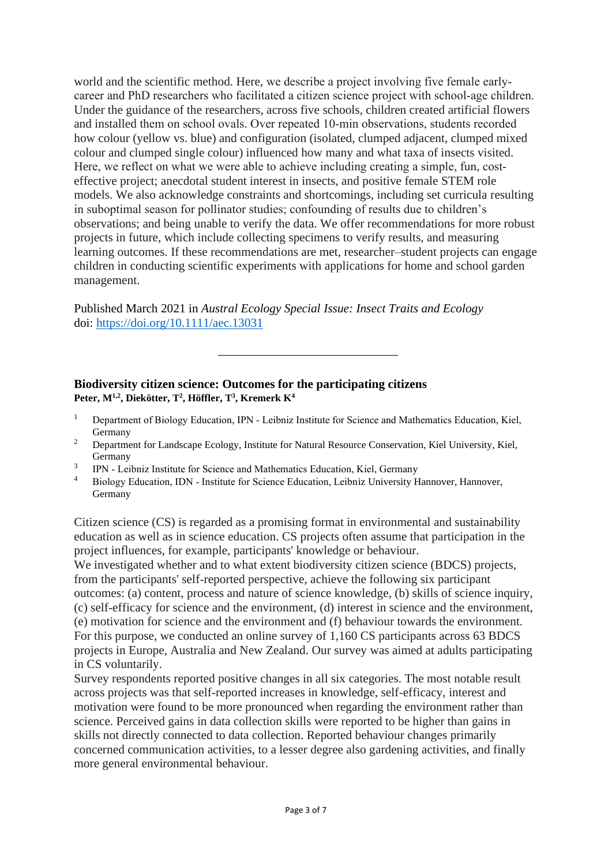world and the scientific method. Here, we describe a project involving five female earlycareer and PhD researchers who facilitated a citizen science project with school-age children. Under the guidance of the researchers, across five schools, children created artificial flowers and installed them on school ovals. Over repeated 10‐min observations, students recorded how colour (yellow vs. blue) and configuration (isolated, clumped adjacent, clumped mixed colour and clumped single colour) influenced how many and what taxa of insects visited. Here, we reflect on what we were able to achieve including creating a simple, fun, costeffective project; anecdotal student interest in insects, and positive female STEM role models. We also acknowledge constraints and shortcomings, including set curricula resulting in suboptimal season for pollinator studies; confounding of results due to children's observations; and being unable to verify the data. We offer recommendations for more robust projects in future, which include collecting specimens to verify results, and measuring learning outcomes. If these recommendations are met, researcher–student projects can engage children in conducting scientific experiments with applications for home and school garden management.

Published March 2021 in *Austral Ecology Special Issue: Insect Traits and Ecology* doi: <https://doi.org/10.1111/aec.13031>

## **Biodiversity citizen science: Outcomes for the participating citizens Peter, M1,2 , Diekötter, T 2 , Höffler, T 3 , Kremerk K<sup>4</sup>**

- <sup>1</sup> Department of Biology Education, IPN Leibniz Institute for Science and Mathematics Education, Kiel, Germany
- <sup>2</sup> Department for Landscape Ecology, Institute for Natural Resource Conservation, Kiel University, Kiel, Germany
- 3 IPN ‐ Leibniz Institute for Science and Mathematics Education, Kiel, Germany
- <sup>4</sup> Biology Education, IDN ‐ Institute for Science Education, Leibniz University Hannover, Hannover, Germany

Citizen science (CS) is regarded as a promising format in environmental and sustainability education as well as in science education. CS projects often assume that participation in the project influences, for example, participants' knowledge or behaviour.

We investigated whether and to what extent biodiversity citizen science (BDCS) projects, from the participants' self‐reported perspective, achieve the following six participant outcomes: (a) content, process and nature of science knowledge, (b) skills of science inquiry, (c) self‐efficacy for science and the environment, (d) interest in science and the environment, (e) motivation for science and the environment and (f) behaviour towards the environment. For this purpose, we conducted an online survey of 1,160 CS participants across 63 BDCS projects in Europe, Australia and New Zealand. Our survey was aimed at adults participating in CS voluntarily.

Survey respondents reported positive changes in all six categories. The most notable result across projects was that self‐reported increases in knowledge, self‐efficacy, interest and motivation were found to be more pronounced when regarding the environment rather than science. Perceived gains in data collection skills were reported to be higher than gains in skills not directly connected to data collection. Reported behaviour changes primarily concerned communication activities, to a lesser degree also gardening activities, and finally more general environmental behaviour.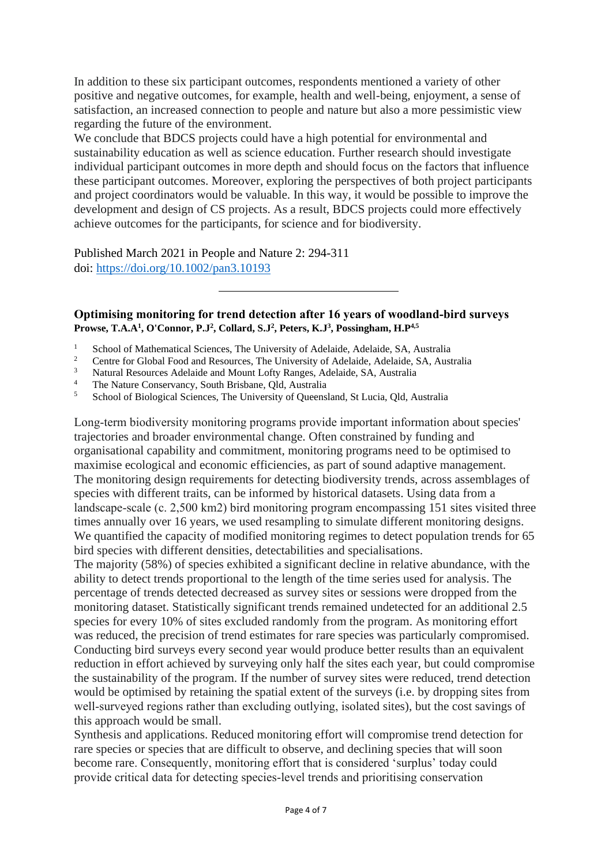In addition to these six participant outcomes, respondents mentioned a variety of other positive and negative outcomes, for example, health and well‐being, enjoyment, a sense of satisfaction, an increased connection to people and nature but also a more pessimistic view regarding the future of the environment.

We conclude that BDCS projects could have a high potential for environmental and sustainability education as well as science education. Further research should investigate individual participant outcomes in more depth and should focus on the factors that influence these participant outcomes. Moreover, exploring the perspectives of both project participants and project coordinators would be valuable. In this way, it would be possible to improve the development and design of CS projects. As a result, BDCS projects could more effectively achieve outcomes for the participants, for science and for biodiversity.

Published March 2021 in People and Nature 2: 294-311 doi: <https://doi.org/10.1002/pan3.10193>

#### **Optimising monitoring for trend detection after 16 years of woodland‐bird surveys Prowse, T.A.A<sup>1</sup> , O'Connor, P.J<sup>2</sup> , Collard, S.J<sup>2</sup> , Peters, K.J<sup>3</sup> , Possingham, H.P4,5**

- <sup>1</sup> School of Mathematical Sciences, The University of Adelaide, Adelaide, SA, Australia
- <sup>2</sup> Centre for Global Food and Resources, The University of Adelaide, Adelaide, SA, Australia
- <sup>3</sup> Natural Resources Adelaide and Mount Lofty Ranges, Adelaide, SA, Australia
- <sup>4</sup> The Nature Conservancy, South Brisbane, Qld, Australia
- <sup>5</sup> School of Biological Sciences, The University of Queensland, St Lucia, Qld, Australia

Long‐term biodiversity monitoring programs provide important information about species' trajectories and broader environmental change. Often constrained by funding and organisational capability and commitment, monitoring programs need to be optimised to maximise ecological and economic efficiencies, as part of sound adaptive management. The monitoring design requirements for detecting biodiversity trends, across assemblages of species with different traits, can be informed by historical datasets. Using data from a landscape-scale (c. 2,500 km2) bird monitoring program encompassing 151 sites visited three times annually over 16 years, we used resampling to simulate different monitoring designs. We quantified the capacity of modified monitoring regimes to detect population trends for 65 bird species with different densities, detectabilities and specialisations.

The majority (58%) of species exhibited a significant decline in relative abundance, with the ability to detect trends proportional to the length of the time series used for analysis. The percentage of trends detected decreased as survey sites or sessions were dropped from the monitoring dataset. Statistically significant trends remained undetected for an additional 2.5 species for every 10% of sites excluded randomly from the program. As monitoring effort was reduced, the precision of trend estimates for rare species was particularly compromised. Conducting bird surveys every second year would produce better results than an equivalent reduction in effort achieved by surveying only half the sites each year, but could compromise the sustainability of the program. If the number of survey sites were reduced, trend detection would be optimised by retaining the spatial extent of the surveys (i.e. by dropping sites from well-surveyed regions rather than excluding outlying, isolated sites), but the cost savings of this approach would be small.

Synthesis and applications. Reduced monitoring effort will compromise trend detection for rare species or species that are difficult to observe, and declining species that will soon become rare. Consequently, monitoring effort that is considered 'surplus' today could provide critical data for detecting species‐level trends and prioritising conservation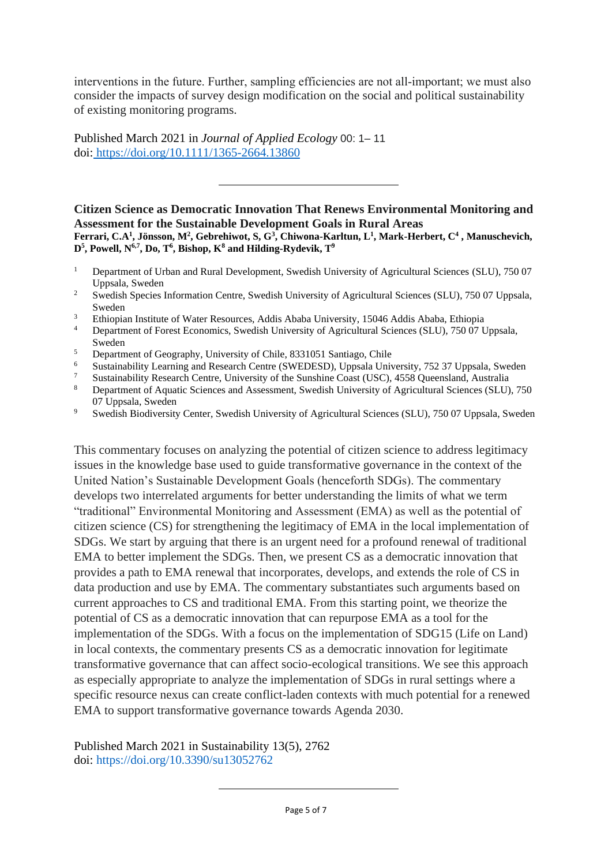interventions in the future. Further, sampling efficiencies are not all-important; we must also consider the impacts of survey design modification on the social and political sustainability of existing monitoring programs.

Published March 2021 in *Journal of Applied Ecology* 00: 1– 11 doi: <https://doi.org/10.1111/1365-2664.13860>

**Citizen Science as Democratic Innovation That Renews Environmental Monitoring and Assessment for the Sustainable Development Goals in Rural Areas Ferrari, C.A<sup>1</sup> , Jönsson, M<sup>2</sup> , Gebrehiwot, S, G<sup>3</sup> , Chiwona-Karltun, L<sup>1</sup> , Mark-Herbert, C<sup>4</sup> , Manuschevich, D5 , Powell, N6,7 , Do, T<sup>6</sup> , Bishop, K<sup>8</sup> and Hilding-Rydevik, T<sup>9</sup>**

- <sup>1</sup> Department of Urban and Rural Development, Swedish University of Agricultural Sciences (SLU), 750 07 Uppsala, Sweden
- <sup>2</sup> Swedish Species Information Centre, Swedish University of Agricultural Sciences (SLU), 750 07 Uppsala, Sweden
- <sup>3</sup> Ethiopian Institute of Water Resources, Addis Ababa University, 15046 Addis Ababa, Ethiopia<br><sup>4</sup> Department of Forest Economics, Swedish University of Agricultural Sciences (SLU), 750.07 I
- <sup>4</sup> Department of Forest Economics, Swedish University of Agricultural Sciences (SLU), 750 07 Uppsala, Sweden
- <sup>5</sup><br>Department of Geography, University of Chile, 8331051 Santiago, Chile<br>Suctorial University Leoning and Because Contra (SWEDESD), Ungeola Univ
- <sup>6</sup> Sustainability Learning and Research Centre (SWEDESD), Uppsala University, 752 37 Uppsala, Sweden
- <sup>7</sup> Sustainability Research Centre, University of the Sunshine Coast (USC), 4558 Queensland, Australia
- <sup>8</sup> Department of Aquatic Sciences and Assessment, Swedish University of Agricultural Sciences (SLU), 750 07 Uppsala, Sweden
- <sup>9</sup> Swedish Biodiversity Center, Swedish University of Agricultural Sciences (SLU), 750 07 Uppsala, Sweden

This commentary focuses on analyzing the potential of citizen science to address legitimacy issues in the knowledge base used to guide transformative governance in the context of the United Nation's Sustainable Development Goals (henceforth SDGs). The commentary develops two interrelated arguments for better understanding the limits of what we term "traditional" Environmental Monitoring and Assessment (EMA) as well as the potential of citizen science (CS) for strengthening the legitimacy of EMA in the local implementation of SDGs. We start by arguing that there is an urgent need for a profound renewal of traditional EMA to better implement the SDGs. Then, we present CS as a democratic innovation that provides a path to EMA renewal that incorporates, develops, and extends the role of CS in data production and use by EMA. The commentary substantiates such arguments based on current approaches to CS and traditional EMA. From this starting point, we theorize the potential of CS as a democratic innovation that can repurpose EMA as a tool for the implementation of the SDGs. With a focus on the implementation of SDG15 (Life on Land) in local contexts, the commentary presents CS as a democratic innovation for legitimate transformative governance that can affect socio-ecological transitions. We see this approach as especially appropriate to analyze the implementation of SDGs in rural settings where a specific resource nexus can create conflict-laden contexts with much potential for a renewed EMA to support transformative governance towards Agenda 2030.

Published March 2021 in Sustainability 13(5), 2762 doi:<https://doi.org/10.3390/su13052762>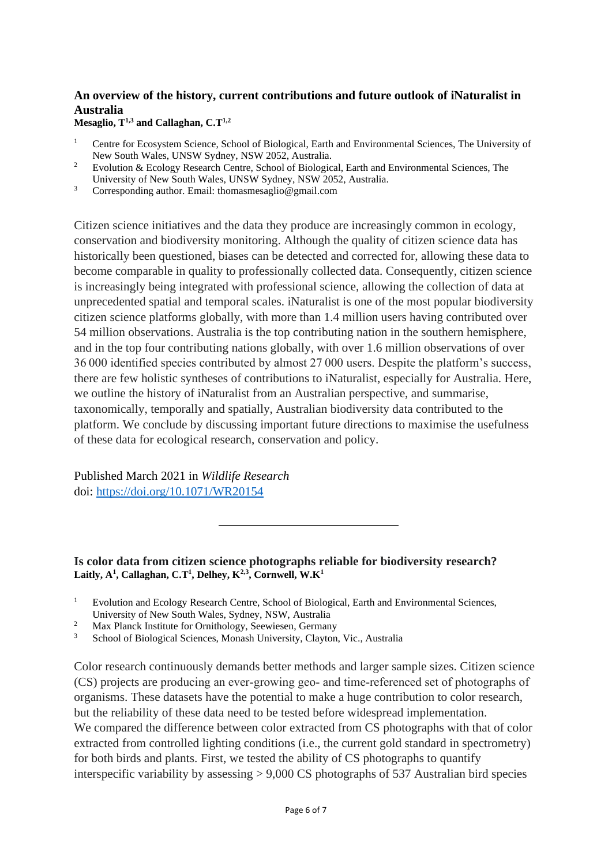## **An overview of the history, current contributions and future outlook of iNaturalist in Australia**

**Mesaglio, T1,3 and Callaghan, C.T1,2**

- <sup>1</sup> Centre for Ecosystem Science, School of Biological, Earth and Environmental Sciences, The University of New South Wales, UNSW Sydney, NSW 2052, Australia.
- <sup>2</sup> Evolution & Ecology Research Centre, School of Biological, Earth and Environmental Sciences, The University of New South Wales, UNSW Sydney, NSW 2052, Australia.
- <sup>3</sup> Corresponding author. Email: [thomasmesaglio@gmail.com](mailto:thomasmesaglio@gmail.com)

Citizen science initiatives and the data they produce are increasingly common in ecology, conservation and biodiversity monitoring. Although the quality of citizen science data has historically been questioned, biases can be detected and corrected for, allowing these data to become comparable in quality to professionally collected data. Consequently, citizen science is increasingly being integrated with professional science, allowing the collection of data at unprecedented spatial and temporal scales. iNaturalist is one of the most popular biodiversity citizen science platforms globally, with more than 1.4 million users having contributed over 54 million observations. Australia is the top contributing nation in the southern hemisphere, and in the top four contributing nations globally, with over 1.6 million observations of over 36 000 identified species contributed by almost 27 000 users. Despite the platform's success, there are few holistic syntheses of contributions to iNaturalist, especially for Australia. Here, we outline the history of iNaturalist from an Australian perspective, and summarise, taxonomically, temporally and spatially, Australian biodiversity data contributed to the platform. We conclude by discussing important future directions to maximise the usefulness of these data for ecological research, conservation and policy.

Published March 2021 in *Wildlife Research* doi:<https://doi.org/10.1071/WR20154>

**Is color data from citizen science photographs reliable for biodiversity research? Laitly, A<sup>1</sup> , Callaghan, C.T<sup>1</sup> , Delhey, K2,3, Cornwell, W.K<sup>1</sup>**

<sup>2</sup> Max Planck Institute for Ornithology, Seewiesen, Germany

Color research continuously demands better methods and larger sample sizes. Citizen science (CS) projects are producing an ever‐growing geo‐ and time‐referenced set of photographs of organisms. These datasets have the potential to make a huge contribution to color research, but the reliability of these data need to be tested before widespread implementation. We compared the difference between color extracted from CS photographs with that of color extracted from controlled lighting conditions (i.e., the current gold standard in spectrometry) for both birds and plants. First, we tested the ability of CS photographs to quantify interspecific variability by assessing > 9,000 CS photographs of 537 Australian bird species

<sup>&</sup>lt;sup>1</sup> Evolution and Ecology Research Centre, School of Biological, Earth and Environmental Sciences, University of New South Wales, Sydney, NSW, Australia

<sup>3</sup> School of Biological Sciences, Monash University, Clayton, Vic., Australia